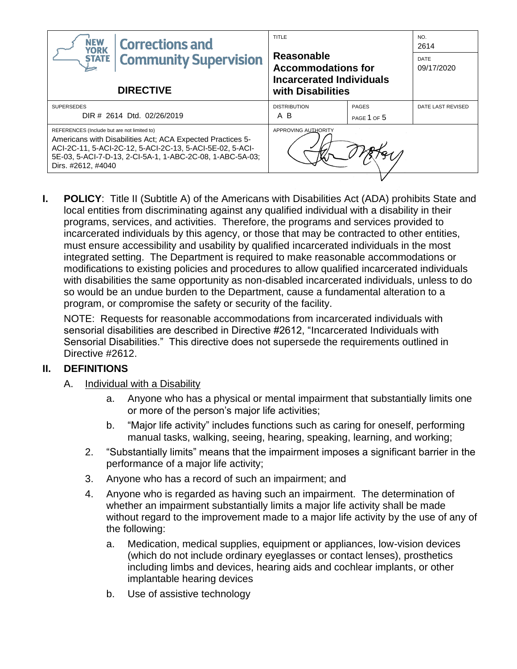| <b>NEW</b><br><b>Corrections and</b><br><b>YORK</b>                                                                                                                                                                                                      | TITLE<br>Reasonable<br><b>Accommodations for</b><br><b>Incarcerated Individuals</b><br>with Disabilities |                             | NO.<br>2614               |
|----------------------------------------------------------------------------------------------------------------------------------------------------------------------------------------------------------------------------------------------------------|----------------------------------------------------------------------------------------------------------|-----------------------------|---------------------------|
| <b>Community Supervision</b><br><b>STATE</b>                                                                                                                                                                                                             |                                                                                                          |                             | <b>DATE</b><br>09/17/2020 |
| <b>DIRECTIVE</b>                                                                                                                                                                                                                                         |                                                                                                          |                             |                           |
| <b>SUPERSEDES</b><br>DIR # 2614 Dtd. 02/26/2019                                                                                                                                                                                                          | <b>DISTRIBUTION</b><br>A B                                                                               | <b>PAGES</b><br>PAGE 1 OF 5 | DATE LAST REVISED         |
| REFERENCES (Include but are not limited to)<br>Americans with Disabilities Act; ACA Expected Practices 5-<br>ACI-2C-11, 5-ACI-2C-12, 5-ACI-2C-13, 5-ACI-5E-02, 5-ACI-<br>5E-03, 5-ACI-7-D-13, 2-CI-5A-1, 1-ABC-2C-08, 1-ABC-5A-03;<br>Dirs. #2612, #4040 | APPROVING AUTHORITY                                                                                      |                             |                           |

**I. POLICY**: Title II (Subtitle A) of the Americans with Disabilities Act (ADA) prohibits State and local entities from discriminating against any qualified individual with a disability in their programs, services, and activities. Therefore, the programs and services provided to incarcerated individuals by this agency, or those that may be contracted to other entities, must ensure accessibility and usability by qualified incarcerated individuals in the most integrated setting. The Department is required to make reasonable accommodations or modifications to existing policies and procedures to allow qualified incarcerated individuals with disabilities the same opportunity as non-disabled incarcerated individuals, unless to do so would be an undue burden to the Department, cause a fundamental alteration to a program, or compromise the safety or security of the facility.

NOTE: Requests for reasonable accommodations from incarcerated individuals with sensorial disabilities are described in Directive #2612, "Incarcerated Individuals with Sensorial Disabilities." This directive does not supersede the requirements outlined in Directive #2612.

## **II. DEFINITIONS**

- A. Individual with a Disability
	- a. Anyone who has a physical or mental impairment that substantially limits one or more of the person's major life activities;
	- b. "Major life activity" includes functions such as caring for oneself, performing manual tasks, walking, seeing, hearing, speaking, learning, and working;
	- 2. "Substantially limits" means that the impairment imposes a significant barrier in the performance of a major life activity;
	- 3. Anyone who has a record of such an impairment; and
	- 4. Anyone who is regarded as having such an impairment. The determination of whether an impairment substantially limits a major life activity shall be made without regard to the improvement made to a major life activity by the use of any of the following:
		- a. Medication, medical supplies, equipment or appliances, low-vision devices (which do not include ordinary eyeglasses or contact lenses), prosthetics including limbs and devices, hearing aids and cochlear implants, or other implantable hearing devices
		- b. Use of assistive technology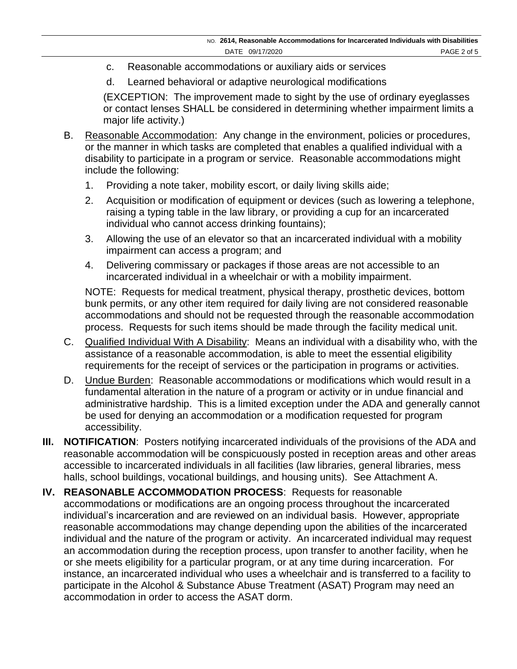- c. Reasonable accommodations or auxiliary aids or services
- d. Learned behavioral or adaptive neurological modifications

(EXCEPTION: The improvement made to sight by the use of ordinary eyeglasses or contact lenses SHALL be considered in determining whether impairment limits a major life activity.)

- B. Reasonable Accommodation:Any change in the environment, policies or procedures, or the manner in which tasks are completed that enables a qualified individual with a disability to participate in a program or service. Reasonable accommodations might include the following:
	- 1. Providing a note taker, mobility escort, or daily living skills aide;
	- 2. Acquisition or modification of equipment or devices (such as lowering a telephone, raising a typing table in the law library, or providing a cup for an incarcerated individual who cannot access drinking fountains);
	- 3. Allowing the use of an elevator so that an incarcerated individual with a mobility impairment can access a program; and
	- 4. Delivering commissary or packages if those areas are not accessible to an incarcerated individual in a wheelchair or with a mobility impairment.

NOTE: Requests for medical treatment, physical therapy, prosthetic devices, bottom bunk permits, or any other item required for daily living are not considered reasonable accommodations and should not be requested through the reasonable accommodation process. Requests for such items should be made through the facility medical unit.

- C. Qualified Individual With A Disability: Means an individual with a disability who, with the assistance of a reasonable accommodation, is able to meet the essential eligibility requirements for the receipt of services or the participation in programs or activities.
- D. Undue Burden: Reasonable accommodations or modifications which would result in a fundamental alteration in the nature of a program or activity or in undue financial and administrative hardship. This is a limited exception under the ADA and generally cannot be used for denying an accommodation or a modification requested for program accessibility.
- **III. NOTIFICATION**: Posters notifying incarcerated individuals of the provisions of the ADA and reasonable accommodation will be conspicuously posted in reception areas and other areas accessible to incarcerated individuals in all facilities (law libraries, general libraries, mess halls, school buildings, vocational buildings, and housing units). See Attachment A.
- **IV. REASONABLE ACCOMMODATION PROCESS**: Requests for reasonable accommodations or modifications are an ongoing process throughout the incarcerated individual's incarceration and are reviewed on an individual basis. However, appropriate reasonable accommodations may change depending upon the abilities of the incarcerated individual and the nature of the program or activity. An incarcerated individual may request an accommodation during the reception process, upon transfer to another facility, when he or she meets eligibility for a particular program, or at any time during incarceration. For instance, an incarcerated individual who uses a wheelchair and is transferred to a facility to participate in the Alcohol & Substance Abuse Treatment (ASAT) Program may need an accommodation in order to access the ASAT dorm.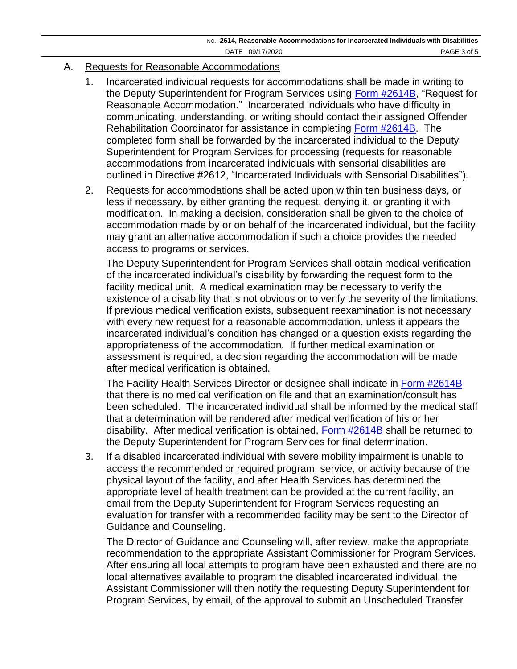### A. Requests for Reasonable Accommodations

- 1. Incarcerated individual requests for accommodations shall be made in writing to the Deputy Superintendent for Program Services using [Form #2614B,](https://doccs.ny.gov/directives/2614B.pdf) "Request for Reasonable Accommodation." Incarcerated individuals who have difficulty in communicating, understanding, or writing should contact their assigned Offender Rehabilitation Coordinator for assistance in completing [Form #2614B.](https://doccs.ny.gov/directives/2614B.pdf) The completed form shall be forwarded by the incarcerated individual to the Deputy Superintendent for Program Services for processing (requests for reasonable accommodations from incarcerated individuals with sensorial disabilities are outlined in Directive #2612, "Incarcerated Individuals with Sensorial Disabilities").
- 2. Requests for accommodations shall be acted upon within ten business days, or less if necessary, by either granting the request, denying it, or granting it with modification. In making a decision, consideration shall be given to the choice of accommodation made by or on behalf of the incarcerated individual, but the facility may grant an alternative accommodation if such a choice provides the needed access to programs or services.

The Deputy Superintendent for Program Services shall obtain medical verification of the incarcerated individual's disability by forwarding the request form to the facility medical unit. A medical examination may be necessary to verify the existence of a disability that is not obvious or to verify the severity of the limitations. If previous medical verification exists, subsequent reexamination is not necessary with every new request for a reasonable accommodation, unless it appears the incarcerated individual's condition has changed or a question exists regarding the appropriateness of the accommodation. If further medical examination or assessment is required, a decision regarding the accommodation will be made after medical verification is obtained.

The Facility Health Services Director or designee shall indicate in [Form #2614B](https://www.doccs.ny.gov/directives/2614B.pdf) that there is no medical verification on file and that an examination/consult has been scheduled. The incarcerated individual shall be informed by the medical staff that a determination will be rendered after medical verification of his or her disability. After medical verification is obtained, [Form #2614B](https://doccs.ny.gov/directives/2614B.pdf) shall be returned to the Deputy Superintendent for Program Services for final determination.

3. If a disabled incarcerated individual with severe mobility impairment is unable to access the recommended or required program, service, or activity because of the physical layout of the facility, and after Health Services has determined the appropriate level of health treatment can be provided at the current facility, an email from the Deputy Superintendent for Program Services requesting an evaluation for transfer with a recommended facility may be sent to the Director of Guidance and Counseling.

The Director of Guidance and Counseling will, after review, make the appropriate recommendation to the appropriate Assistant Commissioner for Program Services. After ensuring all local attempts to program have been exhausted and there are no local alternatives available to program the disabled incarcerated individual, the Assistant Commissioner will then notify the requesting Deputy Superintendent for Program Services, by email, of the approval to submit an Unscheduled Transfer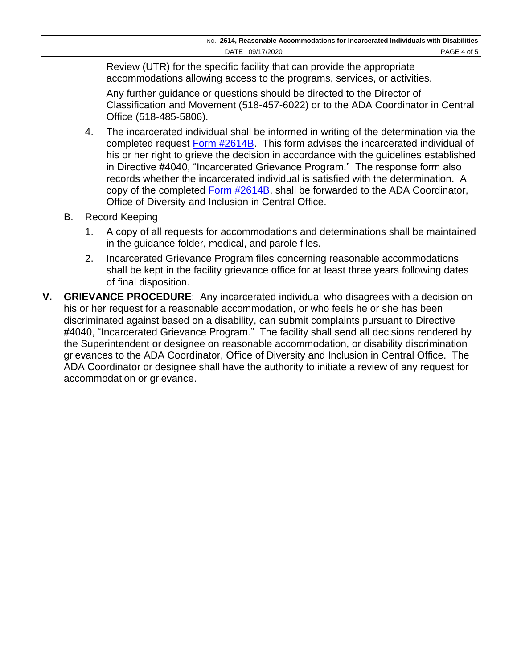Review (UTR) for the specific facility that can provide the appropriate accommodations allowing access to the programs, services, or activities.

Any further guidance or questions should be directed to the Director of Classification and Movement (518-457-6022) or to the ADA Coordinator in Central Office (518-485-5806).

- 4. The incarcerated individual shall be informed in writing of the determination via the completed request [Form #2614B.](https://doccs.ny.gov/directives/2614B.pdf) This form advises the incarcerated individual of his or her right to grieve the decision in accordance with the guidelines established in Directive #4040, "Incarcerated Grievance Program." The response form also records whether the incarcerated individual is satisfied with the determination. A copy of the completed [Form #2614B,](https://doccs.ny.gov/directives/2614B.pdf) shall be forwarded to the ADA Coordinator, Office of Diversity and Inclusion in Central Office.
- B. Record Keeping
	- 1. A copy of all requests for accommodations and determinations shall be maintained in the guidance folder, medical, and parole files.
	- 2. Incarcerated Grievance Program files concerning reasonable accommodations shall be kept in the facility grievance office for at least three years following dates of final disposition.
- **V. GRIEVANCE PROCEDURE**: Any incarcerated individual who disagrees with a decision on his or her request for a reasonable accommodation, or who feels he or she has been discriminated against based on a disability, can submit complaints pursuant to Directive #4040, "Incarcerated Grievance Program." The facility shall send all decisions rendered by the Superintendent or designee on reasonable accommodation, or disability discrimination grievances to the ADA Coordinator, Office of Diversity and Inclusion in Central Office. The ADA Coordinator or designee shall have the authority to initiate a review of any request for accommodation or grievance.